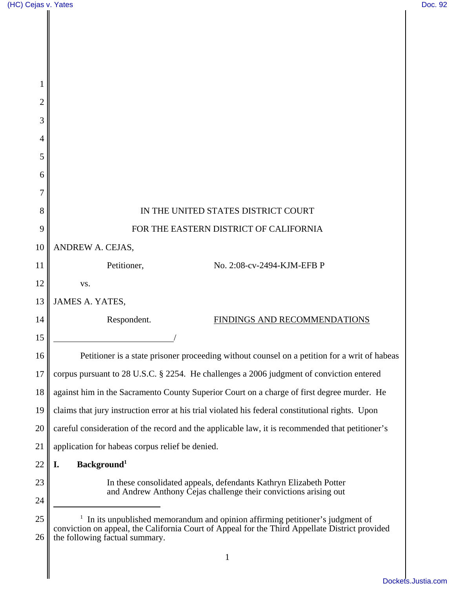| (HC) Cejas v. Yates |                                                                                                                                  | Doc. 92 |
|---------------------|----------------------------------------------------------------------------------------------------------------------------------|---------|
|                     |                                                                                                                                  |         |
|                     |                                                                                                                                  |         |
|                     |                                                                                                                                  |         |
|                     |                                                                                                                                  |         |
| 1                   |                                                                                                                                  |         |
| $\overline{2}$      |                                                                                                                                  |         |
| 3                   |                                                                                                                                  |         |
| 4                   |                                                                                                                                  |         |
| 5                   |                                                                                                                                  |         |
| 6                   |                                                                                                                                  |         |
| 7                   |                                                                                                                                  |         |
| 8                   | IN THE UNITED STATES DISTRICT COURT                                                                                              |         |
| 9                   | FOR THE EASTERN DISTRICT OF CALIFORNIA                                                                                           |         |
| 10                  | ANDREW A. CEJAS,                                                                                                                 |         |
| 11                  | Petitioner,<br>No. 2:08-cv-2494-KJM-EFB P                                                                                        |         |
| 12                  | VS.                                                                                                                              |         |
| 13                  | <b>JAMES A. YATES,</b>                                                                                                           |         |
| 14                  | Respondent.<br>FINDINGS AND RECOMMENDATIONS                                                                                      |         |
| 15                  |                                                                                                                                  |         |
| 16                  | Petitioner is a state prisoner proceeding without counsel on a petition for a writ of habeas                                     |         |
| 17                  | corpus pursuant to 28 U.S.C. § 2254. He challenges a 2006 judgment of conviction entered                                         |         |
| 18                  | against him in the Sacramento County Superior Court on a charge of first degree murder. He                                       |         |
| 19                  | claims that jury instruction error at his trial violated his federal constitutional rights. Upon                                 |         |
| 20                  | careful consideration of the record and the applicable law, it is recommended that petitioner's                                  |         |
| 21                  | application for habeas corpus relief be denied.                                                                                  |         |
| 22                  | Background <sup>1</sup><br>I.                                                                                                    |         |
| 23                  | In these consolidated appeals, defendants Kathryn Elizabeth Potter                                                               |         |
| 24                  | and Andrew Anthony Cejas challenge their convictions arising out                                                                 |         |
| 25                  | In its unpublished memorandum and opinion affirming petitioner's judgment of                                                     |         |
| 26                  | conviction on appeal, the California Court of Appeal for the Third Appellate District provided<br>the following factual summary. |         |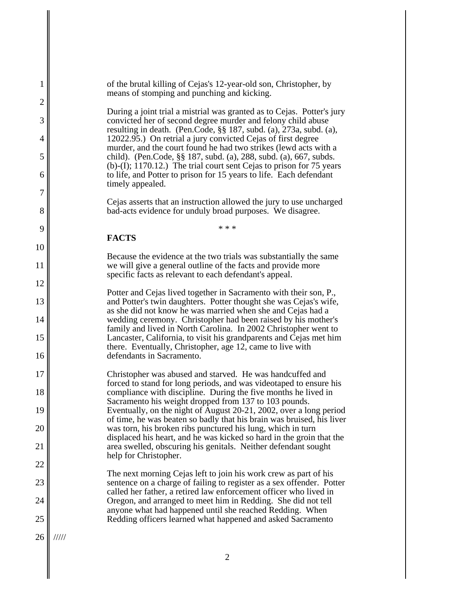| 1              | of the brutal killing of Cejas's 12-year-old son, Christopher, by<br>means of stomping and punching and kicking.                                                                                                |
|----------------|-----------------------------------------------------------------------------------------------------------------------------------------------------------------------------------------------------------------|
| $\overline{2}$ | During a joint trial a mistrial was granted as to Cejas. Potter's jury                                                                                                                                          |
| 3              | convicted her of second degree murder and felony child abuse<br>resulting in death. (Pen.Code, §§ 187, subd. (a), 273a, subd. (a),                                                                              |
| 4              | 12022.95.) On retrial a jury convicted Cejas of first degree<br>murder, and the court found he had two strikes (lewd acts with a                                                                                |
| 5<br>6         | child). (Pen.Code, §§ 187, subd. (a), 288, subd. (a), 667, subds.<br>(b)-(I); 1170.12.) The trial court sent Cejas to prison for 75 years<br>to life, and Potter to prison for 15 years to life. Each defendant |
| 7              | timely appealed.                                                                                                                                                                                                |
| 8              | Cejas asserts that an instruction allowed the jury to use uncharged<br>bad-acts evidence for unduly broad purposes. We disagree.                                                                                |
| 9              | * * *                                                                                                                                                                                                           |
| 10             | <b>FACTS</b>                                                                                                                                                                                                    |
| 11             | Because the evidence at the two trials was substantially the same<br>we will give a general outline of the facts and provide more                                                                               |
| 12             | specific facts as relevant to each defendant's appeal.                                                                                                                                                          |
| 13             | Potter and Cejas lived together in Sacramento with their son, P.,<br>and Potter's twin daughters. Potter thought she was Cejas's wife,                                                                          |
| 14             | as she did not know he was married when she and Cejas had a<br>wedding ceremony. Christopher had been raised by his mother's<br>family and lived in North Carolina. In 2002 Christopher went to                 |
| 15             | Lancaster, California, to visit his grandparents and Cejas met him<br>there. Eventually, Christopher, age 12, came to live with                                                                                 |
| 16             | defendants in Sacramento.                                                                                                                                                                                       |
| 17             | Christopher was abused and starved. He was handcuffed and<br>forced to stand for long periods, and was videotaped to ensure his                                                                                 |
| 18             | compliance with discipline. During the five months he lived in<br>Sacramento his weight dropped from 137 to 103 pounds.                                                                                         |
| 19             | Eventually, on the night of August 20-21, 2002, over a long period<br>of time, he was beaten so badly that his brain was bruised, his liver                                                                     |
| 20             | was torn, his broken ribs punctured his lung, which in turn<br>displaced his heart, and he was kicked so hard in the groin that the                                                                             |
| 21             | area swelled, obscuring his genitals. Neither defendant sought<br>help for Christopher.                                                                                                                         |
| 22             | The next morning Cejas left to join his work crew as part of his                                                                                                                                                |
| 23             | sentence on a charge of failing to register as a sex offender. Potter<br>called her father, a retired law enforcement officer who lived in                                                                      |
| 24             | Oregon, and arranged to meet him in Redding. She did not tell<br>anyone what had happened until she reached Redding. When                                                                                       |
| 25             | Redding officers learned what happened and asked Sacramento                                                                                                                                                     |
| 26             | 11111                                                                                                                                                                                                           |
|                | $\overline{2}$                                                                                                                                                                                                  |

 $\parallel$ 

 $\mathbf I$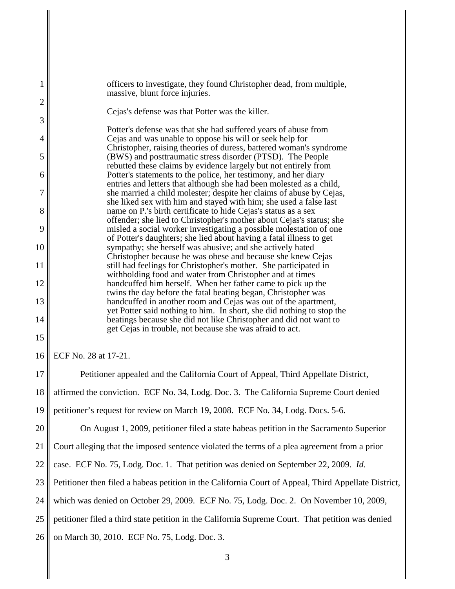| 1              | officers to investigate, they found Christopher dead, from multiple,<br>massive, blunt force injuries.                                    |
|----------------|-------------------------------------------------------------------------------------------------------------------------------------------|
| $\overline{c}$ | Cejas's defense was that Potter was the killer.                                                                                           |
| 3              | Potter's defense was that she had suffered years of abuse from                                                                            |
| $\overline{4}$ | Cejas and was unable to oppose his will or seek help for                                                                                  |
| 5              | Christopher, raising theories of duress, battered woman's syndrome<br>(BWS) and posttraumatic stress disorder (PTSD). The People          |
| 6              | rebutted these claims by evidence largely but not entirely from<br>Potter's statements to the police, her testimony, and her diary        |
| 7              | entries and letters that although she had been molested as a child,                                                                       |
|                | she married a child molester; despite her claims of abuse by Cejas,<br>she liked sex with him and stayed with him; she used a false last  |
| 8              | name on P.'s birth certificate to hide Cejas's status as a sex<br>offender; she lied to Christopher's mother about Cejas's status; she    |
| 9              | misled a social worker investigating a possible molestation of one<br>of Potter's daughters; she lied about having a fatal illness to get |
| 10             | sympathy; she herself was abusive; and she actively hated                                                                                 |
| 11             | Christopher because he was obese and because she knew Cejas<br>still had feelings for Christopher's mother. She participated in           |
| 12             | withholding food and water from Christopher and at times<br>handcuffed him herself. When her father came to pick up the                   |
| 13             | twins the day before the fatal beating began, Christopher was<br>handcuffed in another room and Cejas was out of the apartment,           |
|                | yet Potter said nothing to him. In short, she did nothing to stop the                                                                     |
| 14             | beatings because she did not like Christopher and did not want to<br>get Cejas in trouble, not because she was afraid to act.             |
| 15             |                                                                                                                                           |
| 16             | ECF No. 28 at 17-21.                                                                                                                      |
| 17             | Petitioner appealed and the California Court of Appeal, Third Appellate District,                                                         |
| 18             | affirmed the conviction. ECF No. 34, Lodg. Doc. 3. The California Supreme Court denied                                                    |
| 19             | petitioner's request for review on March 19, 2008. ECF No. 34, Lodg. Docs. 5-6.                                                           |
| 20             | On August 1, 2009, petitioner filed a state habeas petition in the Sacramento Superior                                                    |
| 21             | Court alleging that the imposed sentence violated the terms of a plea agreement from a prior                                              |
| 22             | case. ECF No. 75, Lodg. Doc. 1. That petition was denied on September 22, 2009. Id.                                                       |
| 23             | Petitioner then filed a habeas petition in the California Court of Appeal, Third Appellate District,                                      |
| 24             | which was denied on October 29, 2009. ECF No. 75, Lodg. Doc. 2. On November 10, 2009,                                                     |
| 25             | petitioner filed a third state petition in the California Supreme Court. That petition was denied                                         |
| 26             | on March 30, 2010. ECF No. 75, Lodg. Doc. 3.                                                                                              |
|                | 3                                                                                                                                         |

 $\mathbf I$ 

║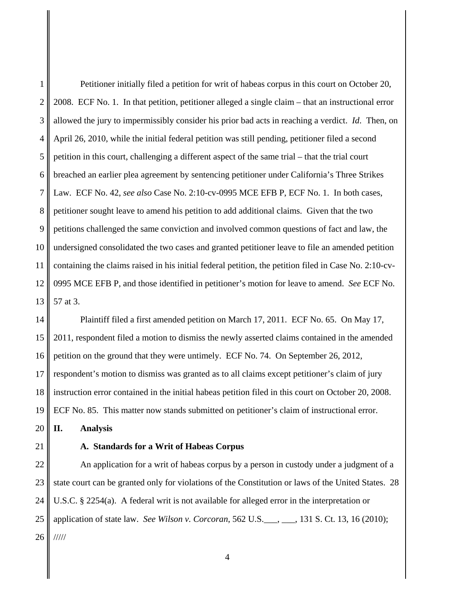1 2 3 4 5 6 7 8 9 10 11 12 13 Petitioner initially filed a petition for writ of habeas corpus in this court on October 20, 2008. ECF No. 1. In that petition, petitioner alleged a single claim – that an instructional error allowed the jury to impermissibly consider his prior bad acts in reaching a verdict. *Id*. Then, on April 26, 2010, while the initial federal petition was still pending, petitioner filed a second petition in this court, challenging a different aspect of the same trial – that the trial court breached an earlier plea agreement by sentencing petitioner under California's Three Strikes Law. ECF No. 42, *see also* Case No. 2:10-cv-0995 MCE EFB P, ECF No. 1. In both cases, petitioner sought leave to amend his petition to add additional claims. Given that the two petitions challenged the same conviction and involved common questions of fact and law, the undersigned consolidated the two cases and granted petitioner leave to file an amended petition containing the claims raised in his initial federal petition, the petition filed in Case No. 2:10-cv-0995 MCE EFB P, and those identified in petitioner's motion for leave to amend. *See* ECF No. 57 at 3.

14 15 16 17 18 19 Plaintiff filed a first amended petition on March 17, 2011. ECF No. 65. On May 17, 2011, respondent filed a motion to dismiss the newly asserted claims contained in the amended petition on the ground that they were untimely. ECF No. 74. On September 26, 2012, respondent's motion to dismiss was granted as to all claims except petitioner's claim of jury instruction error contained in the initial habeas petition filed in this court on October 20, 2008. ECF No. 85. This matter now stands submitted on petitioner's claim of instructional error.

20 **II. Analysis**

21

# **A. Standards for a Writ of Habeas Corpus**

22 23 24 25 26 An application for a writ of habeas corpus by a person in custody under a judgment of a state court can be granted only for violations of the Constitution or laws of the United States. 28 U.S.C. § 2254(a). A federal writ is not available for alleged error in the interpretation or application of state law. *See Wilson v. Corcoran*, 562 U.S.\_\_\_, \_\_\_, 131 S. Ct. 13, 16 (2010); /////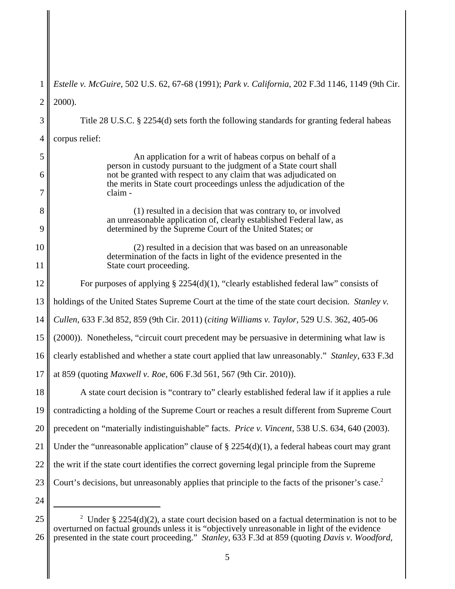| 1        | <i>Estelle v. McGuire, 502 U.S. 62, 67-68 (1991); Park v. California, 202 F.3d 1146, 1149 (9th Cir.</i>                                  |
|----------|------------------------------------------------------------------------------------------------------------------------------------------|
| 2        | 2000).                                                                                                                                   |
| 3        | Title 28 U.S.C. § 2254(d) sets forth the following standards for granting federal habeas                                                 |
| 4        | corpus relief:                                                                                                                           |
| 5        | An application for a writ of habeas corpus on behalf of a<br>person in custody pursuant to the judgment of a State court shall           |
| 6        | not be granted with respect to any claim that was adjudicated on<br>the merits in State court proceedings unless the adjudication of the |
| 7        | claim -                                                                                                                                  |
| 8        | (1) resulted in a decision that was contrary to, or involved<br>an unreasonable application of, clearly established Federal law, as      |
| 9        | determined by the Supreme Court of the United States; or                                                                                 |
| 10       | (2) resulted in a decision that was based on an unreasonable<br>determination of the facts in light of the evidence presented in the     |
| 11       | State court proceeding.                                                                                                                  |
| 12       | For purposes of applying $\S 2254(d)(1)$ , "clearly established federal law" consists of                                                 |
| 13       | holdings of the United States Supreme Court at the time of the state court decision. Stanley v.                                          |
| 14       | Cullen, 633 F.3d 852, 859 (9th Cir. 2011) (citing Williams v. Taylor, 529 U.S. 362, 405-06                                               |
| 15       | (2000)). Nonetheless, "circuit court precedent may be persuasive in determining what law is                                              |
| 16       | clearly established and whether a state court applied that law unreasonably." Stanley, 633 F.3d                                          |
| 17       | at 859 (quoting <i>Maxwell v. Roe,</i> 606 F.3d 561, 567 (9th Cir. 2010)).                                                               |
| 18       | A state court decision is "contrary to" clearly established federal law if it applies a rule                                             |
| 19       | contradicting a holding of the Supreme Court or reaches a result different from Supreme Court                                            |
| 20       | precedent on "materially indistinguishable" facts. Price v. Vincent, 538 U.S. 634, 640 (2003).                                           |
| 21       | Under the "unreasonable application" clause of $\S 2254(d)(1)$ , a federal habeas court may grant                                        |
| 22       | the writ if the state court identifies the correct governing legal principle from the Supreme                                            |
| 23       | Court's decisions, but unreasonably applies that principle to the facts of the prisoner's case. <sup>2</sup>                             |
| 24       |                                                                                                                                          |
| $\Omega$ |                                                                                                                                          |

<sup>25</sup> 26 <sup>2</sup> Under § 2254(d)(2), a state court decision based on a factual determination is not to be overturned on factual grounds unless it is "objectively unreasonable in light of the evidence presented in the state court proceeding." *Stanley*, 633 F.3d at 859 (quoting *Davis v. Woodford*,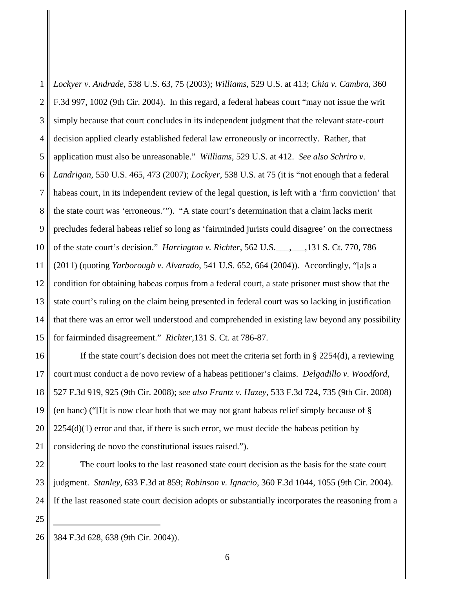1 2 3 4 5 6 7 8 9 10 11 12 13 14 15 *Lockyer v. Andrade*, 538 U.S. 63, 75 (2003); *Williams*, 529 U.S. at 413; *Chia v. Cambra*, 360 F.3d 997, 1002 (9th Cir. 2004). In this regard, a federal habeas court "may not issue the writ simply because that court concludes in its independent judgment that the relevant state-court decision applied clearly established federal law erroneously or incorrectly. Rather, that application must also be unreasonable." *Williams*, 529 U.S. at 412. *See also Schriro v. Landrigan*, 550 U.S. 465, 473 (2007); *Lockyer*, 538 U.S. at 75 (it is "not enough that a federal habeas court, in its independent review of the legal question, is left with a 'firm conviction' that the state court was 'erroneous.'"). "A state court's determination that a claim lacks merit precludes federal habeas relief so long as 'fairminded jurists could disagree' on the correctness of the state court's decision." *Harrington v. Richter*, 562 U.S.\_\_\_,\_\_\_,131 S. Ct. 770, 786 (2011) (quoting *Yarborough v. Alvarado*, 541 U.S. 652, 664 (2004)). Accordingly, "[a]s a condition for obtaining habeas corpus from a federal court, a state prisoner must show that the state court's ruling on the claim being presented in federal court was so lacking in justification that there was an error well understood and comprehended in existing law beyond any possibility for fairminded disagreement." *Richter*,131 S. Ct. at 786-87.

16 17 18 19 20 21 If the state court's decision does not meet the criteria set forth in § 2254(d), a reviewing court must conduct a de novo review of a habeas petitioner's claims. *Delgadillo v. Woodford*, 527 F.3d 919, 925 (9th Cir. 2008); *see also Frantz v. Hazey*, 533 F.3d 724, 735 (9th Cir. 2008) (en banc) ("[I]t is now clear both that we may not grant habeas relief simply because of §  $2254(d)(1)$  error and that, if there is such error, we must decide the habeas petition by considering de novo the constitutional issues raised.").

22 23 24 The court looks to the last reasoned state court decision as the basis for the state court judgment. *Stanley*, 633 F.3d at 859; *Robinson v. Ignacio*, 360 F.3d 1044, 1055 (9th Cir. 2004). If the last reasoned state court decision adopts or substantially incorporates the reasoning from a

<sup>26</sup> 384 F.3d 628, 638 (9th Cir. 2004)).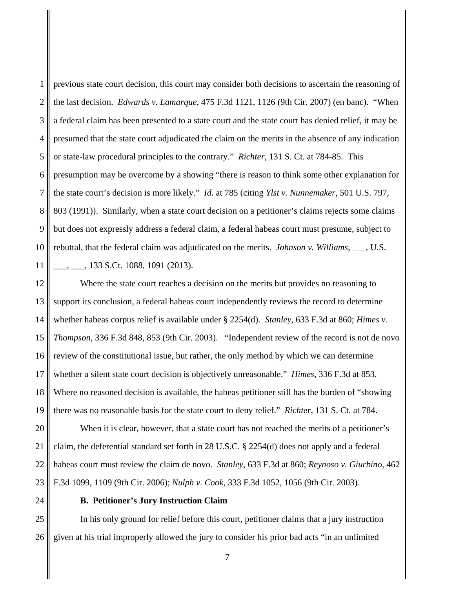1 2 3 4 5 6 7 8 9 10 11 previous state court decision, this court may consider both decisions to ascertain the reasoning of the last decision. *Edwards v. Lamarque*, 475 F.3d 1121, 1126 (9th Cir. 2007) (en banc). "When a federal claim has been presented to a state court and the state court has denied relief, it may be presumed that the state court adjudicated the claim on the merits in the absence of any indication or state-law procedural principles to the contrary." *Richter*, 131 S. Ct. at 784-85. This presumption may be overcome by a showing "there is reason to think some other explanation for the state court's decision is more likely." *Id*. at 785 (citing *Ylst v. Nunnemaker*, 501 U.S. 797, 803 (1991)). Similarly, when a state court decision on a petitioner's claims rejects some claims but does not expressly address a federal claim, a federal habeas court must presume, subject to rebuttal, that the federal claim was adjudicated on the merits. *Johnson v. Williams*, \_\_\_, U.S. \_\_\_, \_\_\_, 133 S.Ct. 1088, 1091 (2013).

12 13 14 15 16 17 18 19 Where the state court reaches a decision on the merits but provides no reasoning to support its conclusion, a federal habeas court independently reviews the record to determine whether habeas corpus relief is available under § 2254(d). *Stanley*, 633 F.3d at 860; *Himes v. Thompson*, 336 F.3d 848, 853 (9th Cir. 2003). "Independent review of the record is not de novo review of the constitutional issue, but rather, the only method by which we can determine whether a silent state court decision is objectively unreasonable." *Himes*, 336 F.3d at 853. Where no reasoned decision is available, the habeas petitioner still has the burden of "showing there was no reasonable basis for the state court to deny relief." *Richter*, 131 S. Ct. at 784.

20 21 22 23 When it is clear, however, that a state court has not reached the merits of a petitioner's claim, the deferential standard set forth in 28 U.S.C. § 2254(d) does not apply and a federal habeas court must review the claim de novo. *Stanley*, 633 F.3d at 860; *Reynoso v. Giurbino*, 462 F.3d 1099, 1109 (9th Cir. 2006); *Nulph v. Cook,* 333 F.3d 1052, 1056 (9th Cir. 2003).

24

### **B. Petitioner's Jury Instruction Claim**

25 26 In his only ground for relief before this court, petitioner claims that a jury instruction given at his trial improperly allowed the jury to consider his prior bad acts "in an unlimited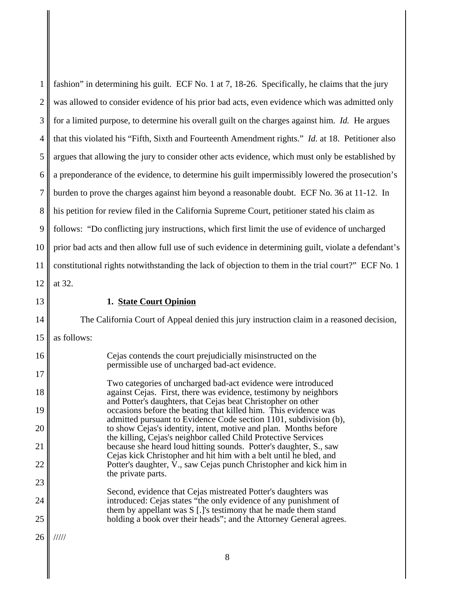1 2 3 4 5 6 7 8 9 10 11 12 fashion" in determining his guilt. ECF No. 1 at 7, 18-26. Specifically, he claims that the jury was allowed to consider evidence of his prior bad acts, even evidence which was admitted only for a limited purpose, to determine his overall guilt on the charges against him. *Id.* He argues that this violated his "Fifth, Sixth and Fourteenth Amendment rights." *Id.* at 18. Petitioner also argues that allowing the jury to consider other acts evidence, which must only be established by a preponderance of the evidence, to determine his guilt impermissibly lowered the prosecution's burden to prove the charges against him beyond a reasonable doubt. ECF No. 36 at 11-12. In his petition for review filed in the California Supreme Court, petitioner stated his claim as follows: "Do conflicting jury instructions, which first limit the use of evidence of uncharged prior bad acts and then allow full use of such evidence in determining guilt, violate a defendant's constitutional rights notwithstanding the lack of objection to them in the trial court?" ECF No. 1 at 32.

21

22

23

24

25

#### **1. State Court Opinion**

The California Court of Appeal denied this jury instruction claim in a reasoned decision, as follows: Cejas contends the court prejudicially misinstructed on the permissible use of uncharged bad-act evidence. Two categories of uncharged bad-act evidence were introduced against Cejas. First, there was evidence, testimony by neighbors and Potter's daughters, that Cejas beat Christopher on other occasions before the beating that killed him. This evidence was admitted pursuant to Evidence Code section 1101, subdivision (b), to show Cejas's identity, intent, motive and plan. Months before the killing, Cejas's neighbor called Child Protective Services because she heard loud hitting sounds. Potter's daughter, S., saw Cejas kick Christopher and hit him with a belt until he bled, and Potter's daughter,  $\bar{V}$ , saw Cejas punch Christopher and kick him in the private parts. Second, evidence that Cejas mistreated Potter's daughters was introduced: Cejas states "the only evidence of any punishment of

26 /////

them by appellant was S [.]'s testimony that he made them stand holding a book over their heads"; and the Attorney General agrees.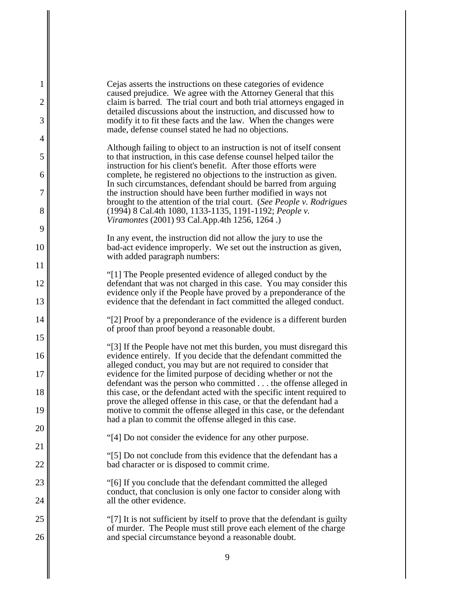| 1              | Cejas asserts the instructions on these categories of evidence                                                                                                                                          |
|----------------|---------------------------------------------------------------------------------------------------------------------------------------------------------------------------------------------------------|
| $\overline{2}$ | caused prejudice. We agree with the Attorney General that this<br>claim is barred. The trial court and both trial attorneys engaged in                                                                  |
| 3              | detailed discussions about the instruction, and discussed how to<br>modify it to fit these facts and the law. When the changes were                                                                     |
| 4              | made, defense counsel stated he had no objections.                                                                                                                                                      |
| 5              | Although failing to object to an instruction is not of itself consent<br>to that instruction, in this case defense counsel helped tailor the                                                            |
| 6              | instruction for his client's benefit. After those efforts were<br>complete, he registered no objections to the instruction as given.                                                                    |
| 7              | In such circumstances, defendant should be barred from arguing<br>the instruction should have been further modified in ways not                                                                         |
| 8              | brought to the attention of the trial court. (See People v. Rodrigues<br>(1994) 8 Cal.4th 1080, 1133-1135, 1191-1192; People v.<br>Viramontes (2001) 93 Cal.App.4th 1256, 1264.)                        |
| 9              |                                                                                                                                                                                                         |
| 10             | In any event, the instruction did not allow the jury to use the<br>bad-act evidence improperly. We set out the instruction as given,<br>with added paragraph numbers:                                   |
| 11             |                                                                                                                                                                                                         |
| 12             | "[1] The People presented evidence of alleged conduct by the<br>defendant that was not charged in this case. You may consider this<br>evidence only if the People have proved by a preponderance of the |
| 13             | evidence that the defendant in fact committed the alleged conduct.                                                                                                                                      |
| 14             | "[2] Proof by a preponderance of the evidence is a different burden<br>of proof than proof beyond a reasonable doubt.                                                                                   |
| 15             | "[3] If the People have not met this burden, you must disregard this                                                                                                                                    |
| 16             | evidence entirely. If you decide that the defendant committed the<br>alleged conduct, you may but are not required to consider that                                                                     |
| 17             | evidence for the limited purpose of deciding whether or not the<br>defendant was the person who committed the offense alleged in                                                                        |
| 18             | this case, or the defendant acted with the specific intent required to<br>prove the alleged offense in this case, or that the defendant had a                                                           |
| 19             | motive to commit the offense alleged in this case, or the defendant<br>had a plan to commit the offense alleged in this case.                                                                           |
| 20             | "[4] Do not consider the evidence for any other purpose.                                                                                                                                                |
| 21             | "[5] Do not conclude from this evidence that the defendant has a                                                                                                                                        |
| 22             | bad character or is disposed to commit crime.                                                                                                                                                           |
| 23             | "[6] If you conclude that the defendant committed the alleged<br>conduct, that conclusion is only one factor to consider along with                                                                     |
| 24             | all the other evidence.                                                                                                                                                                                 |
| 25             | "[7] It is not sufficient by itself to prove that the defendant is guilty<br>of murder. The People must still prove each element of the charge                                                          |
| 26             | and special circumstance beyond a reasonable doubt.                                                                                                                                                     |
|                | 9                                                                                                                                                                                                       |
|                |                                                                                                                                                                                                         |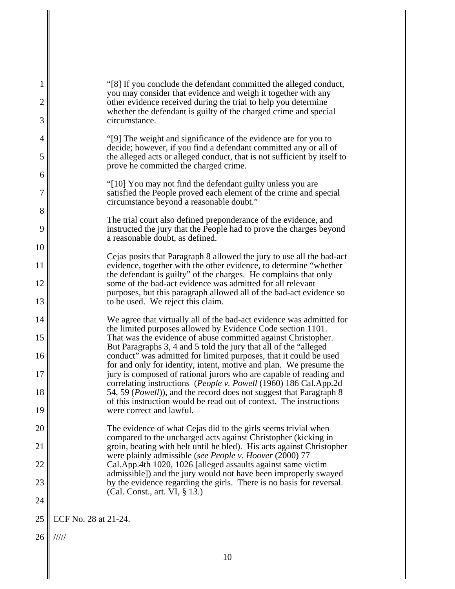| 1<br>$\overline{c}$ | "[8] If you conclude the defendant committed the alleged conduct,<br>you may consider that evidence and weigh it together with any<br>other evidence received during the trial to help you determine |
|---------------------|------------------------------------------------------------------------------------------------------------------------------------------------------------------------------------------------------|
| 3                   | whether the defendant is guilty of the charged crime and special<br>circumstance.                                                                                                                    |
| $\overline{4}$      | "[9] The weight and significance of the evidence are for you to                                                                                                                                      |
| 5                   | decide; however, if you find a defendant committed any or all of<br>the alleged acts or alleged conduct, that is not sufficient by itself to<br>prove he committed the charged crime.                |
| 6                   | "[10] You may not find the defendant guilty unless you are                                                                                                                                           |
| 7                   | satisfied the People proved each element of the crime and special<br>circumstance beyond a reasonable doubt."                                                                                        |
| 8                   | The trial court also defined preponderance of the evidence, and                                                                                                                                      |
| 9                   | instructed the jury that the People had to prove the charges beyond<br>a reasonable doubt, as defined.                                                                                               |
| 10                  | Cejas posits that Paragraph 8 allowed the jury to use all the bad-act                                                                                                                                |
| 11                  | evidence, together with the other evidence, to determine "whether<br>the defendant is guilty" of the charges. He complains that only                                                                 |
| 12                  | some of the bad-act evidence was admitted for all relevant<br>purposes, but this paragraph allowed all of the bad-act evidence so                                                                    |
| 13                  | to be used. We reject this claim.                                                                                                                                                                    |
| 14                  | We agree that virtually all of the bad-act evidence was admitted for<br>the limited purposes allowed by Evidence Code section 1101.                                                                  |
| 15                  | That was the evidence of abuse committed against Christopher.<br>But Paragraphs 3, 4 and 5 told the jury that all of the "alleged"                                                                   |
| 16                  | conduct" was admitted for limited purposes, that it could be used<br>for and only for identity, intent, motive and plan. We presume the                                                              |
| 17                  | jury is composed of rational jurors who are capable of reading and<br>correlating instructions (People v. Powell (1960) 186 Cal.App.2d                                                               |
| 18                  | 54, 59 (Powell)), and the record does not suggest that Paragraph 8<br>of this instruction would be read out of context. The instructions                                                             |
| 19                  | were correct and lawful.                                                                                                                                                                             |
| 20                  | The evidence of what Cejas did to the girls seems trivial when<br>compared to the uncharged acts against Christopher (kicking in                                                                     |
| 21                  | groin, beating with belt until he bled). His acts against Christopher<br>were plainly admissible (see People v. Hoover (2000) 77                                                                     |
| 22                  | Cal.App.4th 1020, 1026 [alleged assaults against same victim<br>admissible]) and the jury would not have been improperly swayed                                                                      |
| 23                  | by the evidence regarding the girls. There is no basis for reversal.<br>(Cal. Const., art. VI, § 13.)                                                                                                |
| 24                  |                                                                                                                                                                                                      |
| 25                  | ECF No. 28 at 21-24.                                                                                                                                                                                 |
| 26                  | 11111                                                                                                                                                                                                |
|                     | 10                                                                                                                                                                                                   |
|                     |                                                                                                                                                                                                      |

 $\parallel$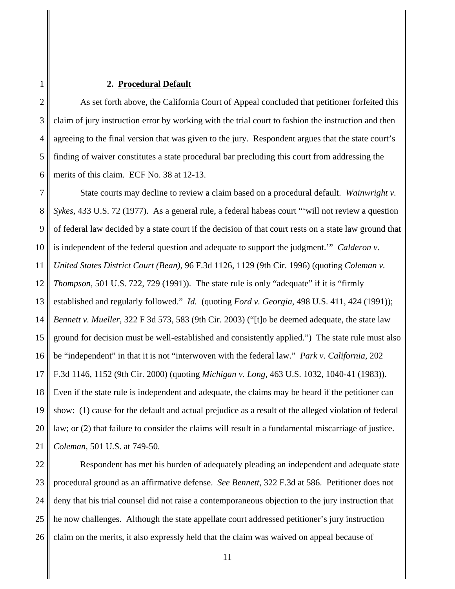### **2. Procedural Default**

1

2 3 4 5 6 As set forth above, the California Court of Appeal concluded that petitioner forfeited this claim of jury instruction error by working with the trial court to fashion the instruction and then agreeing to the final version that was given to the jury. Respondent argues that the state court's finding of waiver constitutes a state procedural bar precluding this court from addressing the merits of this claim. ECF No. 38 at 12-13.

7 8 9 10 11 12 13 14 15 16 17 18 19 20 21 State courts may decline to review a claim based on a procedural default. *Wainwright v. Sykes*, 433 U.S. 72 (1977). As a general rule, a federal habeas court "'will not review a question of federal law decided by a state court if the decision of that court rests on a state law ground that is independent of the federal question and adequate to support the judgment.'" *Calderon v. United States District Court (Bean)*, 96 F.3d 1126, 1129 (9th Cir. 1996) (quoting *Coleman v. Thompson*, 501 U.S. 722, 729 (1991)). The state rule is only "adequate" if it is "firmly established and regularly followed." *Id.* (quoting *Ford v. Georgia*, 498 U.S. 411, 424 (1991)); *Bennett v. Mueller*, 322 F 3d 573, 583 (9th Cir. 2003) ("[t]o be deemed adequate, the state law ground for decision must be well-established and consistently applied.") The state rule must also be "independent" in that it is not "interwoven with the federal law." *Park v. California*, 202 F.3d 1146, 1152 (9th Cir. 2000) (quoting *Michigan v. Long*, 463 U.S. 1032, 1040-41 (1983)). Even if the state rule is independent and adequate, the claims may be heard if the petitioner can show: (1) cause for the default and actual prejudice as a result of the alleged violation of federal law; or (2) that failure to consider the claims will result in a fundamental miscarriage of justice. *Coleman*, 501 U.S. at 749-50.

22 23 24 25 26 Respondent has met his burden of adequately pleading an independent and adequate state procedural ground as an affirmative defense. *See Bennett*, 322 F.3d at 586. Petitioner does not deny that his trial counsel did not raise a contemporaneous objection to the jury instruction that he now challenges. Although the state appellate court addressed petitioner's jury instruction claim on the merits, it also expressly held that the claim was waived on appeal because of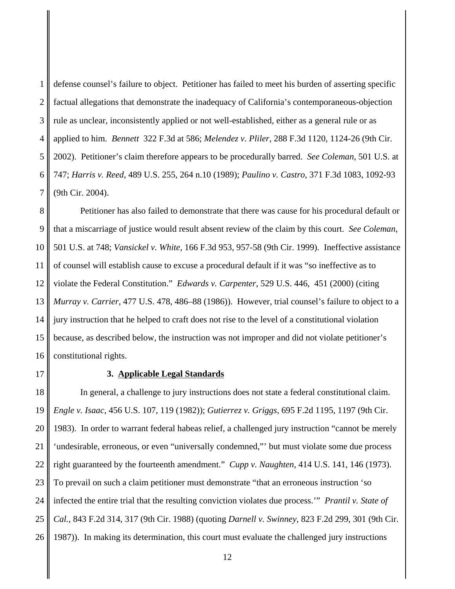1 2 3 4 5 6 7 defense counsel's failure to object. Petitioner has failed to meet his burden of asserting specific factual allegations that demonstrate the inadequacy of California's contemporaneous-objection rule as unclear, inconsistently applied or not well-established, either as a general rule or as applied to him. *Bennett* 322 F.3d at 586; *Melendez v. Pliler*, 288 F.3d 1120, 1124-26 (9th Cir. 2002). Petitioner's claim therefore appears to be procedurally barred. *See Coleman*, 501 U.S. at 747; *Harris v. Reed*, 489 U.S. 255, 264 n.10 (1989); *Paulino v. Castro*, 371 F.3d 1083, 1092-93 (9th Cir. 2004).

8 9 10 11 12 13 14 15 16 Petitioner has also failed to demonstrate that there was cause for his procedural default or that a miscarriage of justice would result absent review of the claim by this court. *See Coleman*, 501 U.S. at 748; *Vansickel v. White*, 166 F.3d 953, 957-58 (9th Cir. 1999). Ineffective assistance of counsel will establish cause to excuse a procedural default if it was "so ineffective as to violate the Federal Constitution." *Edwards v. Carpenter*, 529 U.S. 446, 451 (2000) (citing *Murray v. Carrier*, 477 U.S. 478, 486–88 (1986)). However, trial counsel's failure to object to a jury instruction that he helped to craft does not rise to the level of a constitutional violation because, as described below, the instruction was not improper and did not violate petitioner's constitutional rights.

17

# **3. Applicable Legal Standards**

18 19 20 21 22 23 24 25 26 In general, a challenge to jury instructions does not state a federal constitutional claim. *Engle v. Isaac*, 456 U.S. 107, 119 (1982)); *Gutierrez v. Griggs*, 695 F.2d 1195, 1197 (9th Cir. 1983). In order to warrant federal habeas relief, a challenged jury instruction "cannot be merely 'undesirable, erroneous, or even "universally condemned,"' but must violate some due process right guaranteed by the fourteenth amendment." *Cupp v. Naughten*, 414 U.S. 141, 146 (1973). To prevail on such a claim petitioner must demonstrate "that an erroneous instruction 'so infected the entire trial that the resulting conviction violates due process.'" *Prantil v. State of Cal.*, 843 F.2d 314, 317 (9th Cir. 1988) (quoting *Darnell v. Swinney*, 823 F.2d 299, 301 (9th Cir. 1987)). In making its determination, this court must evaluate the challenged jury instructions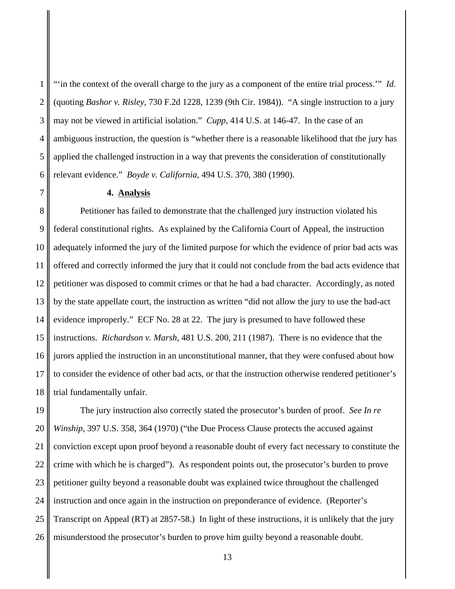1 2 3 4 5 6 "'in the context of the overall charge to the jury as a component of the entire trial process.'" *Id.* (quoting *Bashor v. Risley*, 730 F.2d 1228, 1239 (9th Cir. 1984)). "A single instruction to a jury may not be viewed in artificial isolation." *Cupp*, 414 U.S. at 146-47. In the case of an ambiguous instruction, the question is "whether there is a reasonable likelihood that the jury has applied the challenged instruction in a way that prevents the consideration of constitutionally relevant evidence." *Boyde v. California*, 494 U.S. 370, 380 (1990).

#### **4. Analysis**

8 9 10 11 12 13 14 15 16 17 18 Petitioner has failed to demonstrate that the challenged jury instruction violated his federal constitutional rights. As explained by the California Court of Appeal, the instruction adequately informed the jury of the limited purpose for which the evidence of prior bad acts was offered and correctly informed the jury that it could not conclude from the bad acts evidence that petitioner was disposed to commit crimes or that he had a bad character. Accordingly, as noted by the state appellate court, the instruction as written "did not allow the jury to use the bad-act evidence improperly." ECF No. 28 at 22. The jury is presumed to have followed these instructions. *Richardson v. Marsh*, 481 U.S. 200, 211 (1987). There is no evidence that the jurors applied the instruction in an unconstitutional manner, that they were confused about how to consider the evidence of other bad acts, or that the instruction otherwise rendered petitioner's trial fundamentally unfair.

19 20 21 22 23 24 25 26 The jury instruction also correctly stated the prosecutor's burden of proof. *See In re Winship*, 397 U.S. 358, 364 (1970) ("the Due Process Clause protects the accused against conviction except upon proof beyond a reasonable doubt of every fact necessary to constitute the crime with which he is charged"). As respondent points out, the prosecutor's burden to prove petitioner guilty beyond a reasonable doubt was explained twice throughout the challenged instruction and once again in the instruction on preponderance of evidence. (Reporter's Transcript on Appeal (RT) at 2857-58.) In light of these instructions, it is unlikely that the jury misunderstood the prosecutor's burden to prove him guilty beyond a reasonable doubt.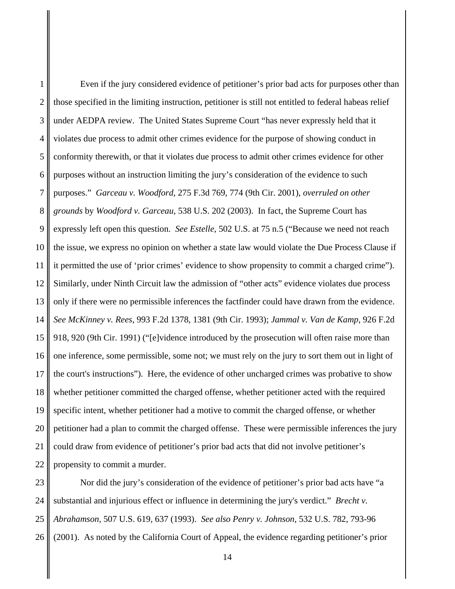1 2 3 4 5 6 7 8 9 10 11 12 13 14 15 16 17 18 19 20 21 22 Even if the jury considered evidence of petitioner's prior bad acts for purposes other than those specified in the limiting instruction, petitioner is still not entitled to federal habeas relief under AEDPA review. The United States Supreme Court "has never expressly held that it violates due process to admit other crimes evidence for the purpose of showing conduct in conformity therewith, or that it violates due process to admit other crimes evidence for other purposes without an instruction limiting the jury's consideration of the evidence to such purposes." *Garceau v. Woodford*, 275 F.3d 769, 774 (9th Cir. 2001), *overruled on other grounds* by *Woodford v. Garceau*, 538 U.S. 202 (2003). In fact, the Supreme Court has expressly left open this question. *See Estelle*, 502 U.S. at 75 n.5 ("Because we need not reach the issue, we express no opinion on whether a state law would violate the Due Process Clause if it permitted the use of 'prior crimes' evidence to show propensity to commit a charged crime"). Similarly, under Ninth Circuit law the admission of "other acts" evidence violates due process only if there were no permissible inferences the factfinder could have drawn from the evidence. *See McKinney v. Rees*, 993 F.2d 1378, 1381 (9th Cir. 1993); *Jammal v. Van de Kamp*, 926 F.2d 918, 920 (9th Cir. 1991) ("[e]vidence introduced by the prosecution will often raise more than one inference, some permissible, some not; we must rely on the jury to sort them out in light of the court's instructions"). Here, the evidence of other uncharged crimes was probative to show whether petitioner committed the charged offense, whether petitioner acted with the required specific intent, whether petitioner had a motive to commit the charged offense, or whether petitioner had a plan to commit the charged offense. These were permissible inferences the jury could draw from evidence of petitioner's prior bad acts that did not involve petitioner's propensity to commit a murder.

23 24 25 26 Nor did the jury's consideration of the evidence of petitioner's prior bad acts have "a substantial and injurious effect or influence in determining the jury's verdict." *Brecht v. Abrahamson*, 507 U.S. 619, 637 (1993). *See also Penry v. Johnson*, 532 U.S. 782, 793-96 (2001). As noted by the California Court of Appeal, the evidence regarding petitioner's prior